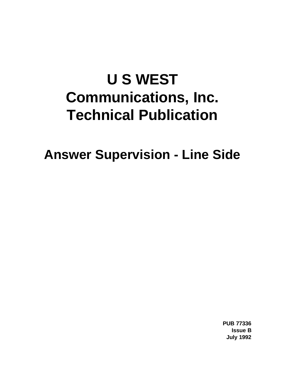# **U S WEST Communications, Inc. Technical Publication**

**Answer Supervision - Line Side**

**PUB 77336 Issue B July 1992**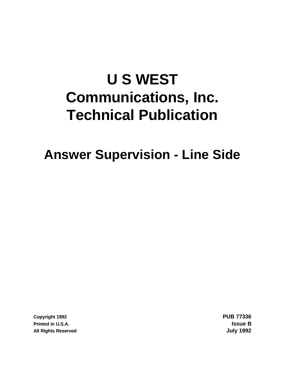# **U S WEST Communications, Inc. Technical Publication**

**Answer Supervision - Line Side**

**Copyright 1992 PUB 77336 Printed in U.S.A. Issue B All Rights Reserved July 1992**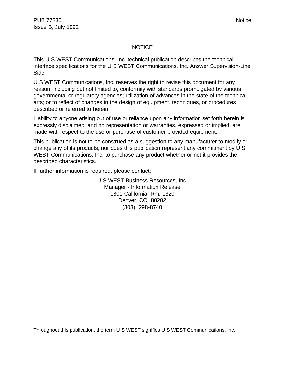# NOTICE

This U S WEST Communications, Inc. technical publication describes the technical interface specifications for the U S WEST Communications, Inc. Answer Supervision-Line Side.

U S WEST Communications, Inc. reserves the right to revise this document for any reason, including but not limited to, conformity with standards promulgated by various governmental or regulatory agencies; utilization of advances in the state of the technical arts; or to reflect of changes in the design of equipment, techniques, or procedures described or referred to herein.

Liability to anyone arising out of use or reliance upon any information set forth herein is expressly disclaimed, and no representation or warranties, expressed or implied, are made with respect to the use or purchase of customer provided equipment.

This publication is not to be construed as a suggestion to any manufacturer to modify or change any of its products, nor does this publication represent any commitment by U S WEST Communications, Inc. to purchase any product whether or not it provides the described characteristics.

If further information is required, please contact:

U S WEST Business Resources, Inc. Manager - Information Release 1801 California, Rm. 1320 Denver, CO 80202 (303) 298-8740

Throughout this publication, the term U S WEST signifies U S WEST Communications, Inc.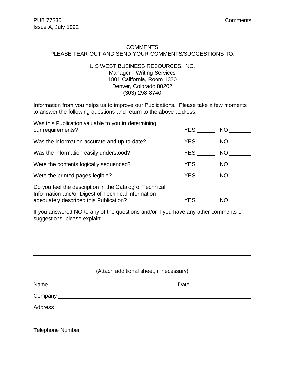$\overline{a}$ 

### **COMMENTS** PLEASE TEAR OUT AND SEND YOUR COMMENTS/SUGGESTIONS TO:

# U S WEST BUSINESS RESOURCES, INC. Manager - Writing Services 1801 California, Room 1320 Denver, Colorado 80202 (303) 298-8740

Information from you helps us to improve our Publications. Please take a few moments to answer the following questions and return to the above address.

| Was this Publication valuable to you in determining<br>our requirements?                                                                                | YES        | NO <sub>1</sub> |
|---------------------------------------------------------------------------------------------------------------------------------------------------------|------------|-----------------|
| Was the information accurate and up-to-date?                                                                                                            | YES        | NO <sub>1</sub> |
| Was the information easily understood?                                                                                                                  | <b>YES</b> | NO              |
| Were the contents logically sequenced?                                                                                                                  | YES        | NO.             |
| Were the printed pages legible?                                                                                                                         | YES        | NO              |
| Do you feel the description in the Catalog of Technical<br>Information and/or Digest of Technical Information<br>adequately described this Publication? | YES        | NO.             |

If you answered NO to any of the questions and/or if you have any other comments or suggestions, please explain:

|                                                                              | (Attach additional sheet, if necessary) |
|------------------------------------------------------------------------------|-----------------------------------------|
|                                                                              |                                         |
|                                                                              |                                         |
|                                                                              |                                         |
|                                                                              |                                         |
| Telephone Number National According to the Contract of Telephone Number 2014 |                                         |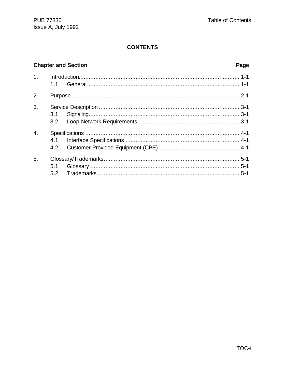# **CONTENTS**

# **Chapter and Section**

# Page

|                  | 1.1 |  |
|------------------|-----|--|
| 2.               |     |  |
| $\overline{3}$ . |     |  |
| $\overline{4}$ . |     |  |
| 5.               | 5.1 |  |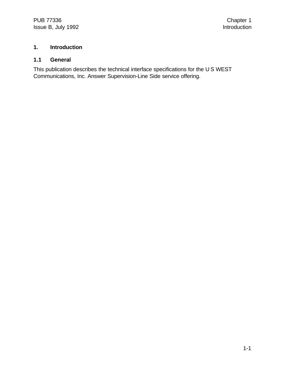# **1. Introduction**

# **1.1 General**

This publication describes the technical interface specifications for the U S WEST Communications, Inc. Answer Supervision-Line Side service offering.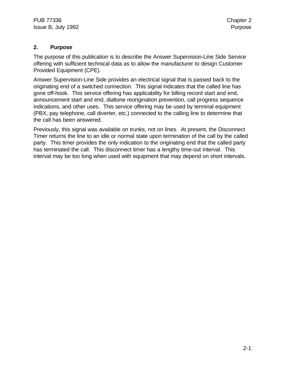# **2. Purpose**

The purpose of this publication is to describe the Answer Supervision-Line Side Service offering with sufficient technical data as to allow the manufacturer to design Customer Provided Equipment (CPE).

Answer Supervision-Line Side provides an electrical signal that is passed back to the originating end of a switched connection. This signal indicates that the called line has gone off-hook. This service offering has applicability for billing record start and end, announcement start and end, dialtone reorigination prevention, call progress sequence indications, and other uses. This service offering may be used by terminal equipment (PBX, pay telephone, call diverter, etc.) connected to the calling line to determine that the call has been answered.

Previously, this signal was available on trunks, not on lines. At present, the Disconnect Timer returns the line to an idle or normal state upon termination of the call by the called party. This timer provides the only indication to the originating end that the called party has terminated the call. This disconnect timer has a lengthy time-out interval. This interval may be too long when used with equipment that may depend on short intervals.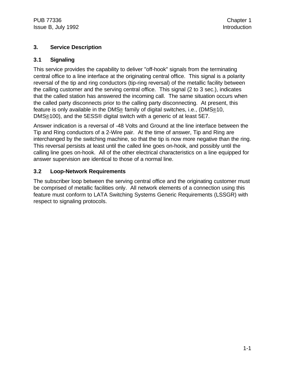# **3. Service Description**

# **3.1 Signaling**

This service provides the capability to deliver "off-hook" signals from the terminating central office to a line interface at the originating central office. This signal is a polarity reversal of the tip and ring conductors (tip-ring reversal) of the metallic facility between the calling customer and the serving central office. This signal (2 to 3 sec.), indicates that the called station has answered the incoming call. The same situation occurs when the called party disconnects prior to the calling party disconnecting. At present, this feature is only available in the DMS® family of digital switches, i.e., (DMS®10, DMS®100), and the 5ESS® digital switch with a generic of at least 5E7.

Answer indication is a reversal of -48 Volts and Ground at the line interface between the Tip and Ring conductors of a 2-Wire pair. At the time of answer, Tip and Ring are interchanged by the switching machine, so that the tip is now more negative than the ring. This reversal persists at least until the called line goes on-hook, and possibly until the calling line goes on-hook. All of the other electrical characteristics on a line equipped for answer supervision are identical to those of a normal line.

# **3.2 Loop-Network Requirements**

The subscriber loop between the serving central office and the originating customer must be comprised of metallic facilities only. All network elements of a connection using this feature must conform to LATA Switching Systems Generic Requirements (LSSGR) with respect to signaling protocols.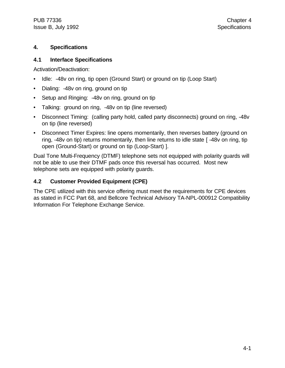PUB 77336 Chapter 4 Issue B, July 1992 **Specifications** 

# **4. Specifications**

# **4.1 Interface Specifications**

Activation/Deactivation:

- Idle: -48v on ring, tip open (Ground Start) or ground on tip (Loop Start)
- Dialing: -48v on ring, ground on tip
- Setup and Ringing: -48y on ring, ground on tip
- Talking: ground on ring, -48v on tip (line reversed)
- Disconnect Timing: (calling party hold, called party disconnects) ground on ring, -48v on tip (line reversed)
- Disconnect Timer Expires: line opens momentarily, then reverses battery (ground on ring, -48v on tip) returns momentarily, then line returns to idle state [ -48v on ring, tip open (Ground-Start) or ground on tip (Loop-Start) ].

Dual Tone Multi-Frequency (DTMF) telephone sets not equipped with polarity guards will not be able to use their DTMF pads once this reversal has occurred. Most new telephone sets are equipped with polarity guards.

# **4.2 Customer Provided Equipment (CPE)**

The CPE utilized with this service offering must meet the requirements for CPE devices as stated in FCC Part 68, and Bellcore Technical Advisory TA-NPL-000912 Compatibility Information For Telephone Exchange Service.